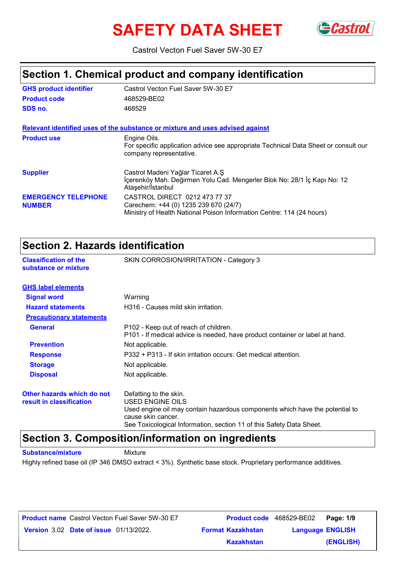# **SAFETY DATA SHEET** GCastrol



Castrol Vecton Fuel Saver 5W-30 E7

## **Section 1. Chemical product and company identification**

| <b>GHS product identifier</b>               | Castrol Vecton Fuel Saver 5W-30 E7                                                                                                              |
|---------------------------------------------|-------------------------------------------------------------------------------------------------------------------------------------------------|
| <b>Product code</b>                         | 468529-BE02                                                                                                                                     |
| SDS no.                                     | 468529                                                                                                                                          |
|                                             | Relevant identified uses of the substance or mixture and uses advised against                                                                   |
| <b>Product use</b>                          | Engine Oils.<br>For specific application advice see appropriate Technical Data Sheet or consult our<br>company representative.                  |
| <b>Supplier</b>                             | Castrol Madeni Yağlar Ticaret A.Ş<br>İçerenköy Mah. Değirmen Yolu Cad. Mengerler Blok No: 28/1 İç Kapı No: 12<br>Ataşehir/İstanbul              |
| <b>EMERGENCY TELEPHONE</b><br><b>NUMBER</b> | CASTROL DIRECT 0212 473 77 37<br>Carechem: +44 (0) 1235 239 670 (24/7)<br>Ministry of Health National Poison Information Centre: 114 (24 hours) |

### **Section 2. Hazards identification**

|                                                      | OCCHON 4. NGLARAS RIGHTHOGHON                                                                                         |  |  |
|------------------------------------------------------|-----------------------------------------------------------------------------------------------------------------------|--|--|
| <b>Classification of the</b><br>substance or mixture | SKIN CORROSION/IRRITATION - Category 3                                                                                |  |  |
| <b>GHS label elements</b>                            |                                                                                                                       |  |  |
| <b>Signal word</b>                                   | Warning                                                                                                               |  |  |
| <b>Hazard statements</b>                             | H316 - Causes mild skin irritation.                                                                                   |  |  |
| <b>Precautionary statements</b>                      |                                                                                                                       |  |  |
| <b>General</b>                                       | P102 - Keep out of reach of children.<br>P101 - If medical advice is needed, have product container or label at hand. |  |  |
| <b>Prevention</b>                                    | Not applicable.                                                                                                       |  |  |
| <b>Response</b>                                      | P332 + P313 - If skin irritation occurs: Get medical attention.                                                       |  |  |
| <b>Storage</b>                                       | Not applicable.                                                                                                       |  |  |
| <b>Disposal</b>                                      | Not applicable.                                                                                                       |  |  |
| Other hazards which do not                           | Defatting to the skin.                                                                                                |  |  |
| result in classification                             | USED ENGINE OILS                                                                                                      |  |  |
|                                                      | Used engine oil may contain hazardous components which have the potential to<br>cause skin cancer.                    |  |  |

See Toxicological Information, section 11 of this Safety Data Sheet.

### **Section 3. Composition/information on ingredients**

**Substance/mixture Mixture** 

Highly refined base oil (IP 346 DMSO extract < 3%). Synthetic base stock. Proprietary performance additives.

| <b>Product name</b> Castrol Vecton Fuel Saver 5W-30 E7 | Product code 468529-BE02 | Page: 1/9               |  |
|--------------------------------------------------------|--------------------------|-------------------------|--|
| <b>Version 3.02 Date of issue 01/13/2022.</b>          | <b>Format Kazakhstan</b> | <b>Language ENGLISH</b> |  |
|                                                        | Kazakhstan               | (ENGLISH)               |  |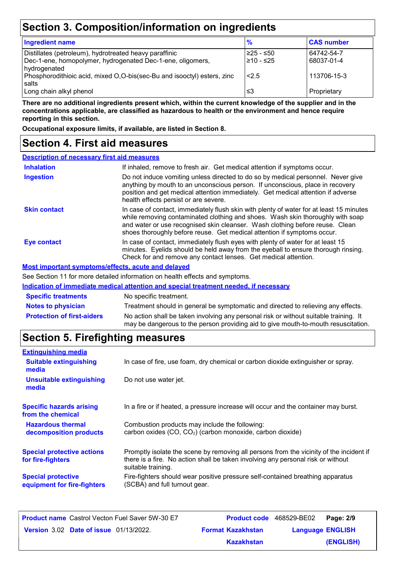## **Section 3. Composition/information on ingredients**

| <b>Ingredient name</b>                                                  | $\frac{9}{6}$ | <b>CAS number</b> |
|-------------------------------------------------------------------------|---------------|-------------------|
| Distillates (petroleum), hydrotreated heavy paraffinic                  | l≥25 - ≤50    | 64742-54-7        |
| Dec-1-ene, homopolymer, hydrogenated Dec-1-ene, oligomers,              | l≥10 - ≤25    | 68037-01-4        |
| hydrogenated                                                            |               |                   |
| Phosphorodithioic acid, mixed O,O-bis(sec-Bu and isooctyl) esters, zinc | 2.5           | 113706-15-3       |
| salts                                                                   |               |                   |
| Long chain alkyl phenol                                                 | ≤3            | Proprietary       |

**There are no additional ingredients present which, within the current knowledge of the supplier and in the concentrations applicable, are classified as hazardous to health or the environment and hence require reporting in this section.**

**Occupational exposure limits, if available, are listed in Section 8.**

### **Section 4. First aid measures**

| <b>Description of necessary first aid measures</b> |                                                                                                                                                                                                                                                                                                                                      |
|----------------------------------------------------|--------------------------------------------------------------------------------------------------------------------------------------------------------------------------------------------------------------------------------------------------------------------------------------------------------------------------------------|
| <b>Inhalation</b>                                  | If inhaled, remove to fresh air. Get medical attention if symptoms occur.                                                                                                                                                                                                                                                            |
| <b>Ingestion</b>                                   | Do not induce vomiting unless directed to do so by medical personnel. Never give<br>anything by mouth to an unconscious person. If unconscious, place in recovery<br>position and get medical attention immediately. Get medical attention if adverse<br>health effects persist or are severe.                                       |
| <b>Skin contact</b>                                | In case of contact, immediately flush skin with plenty of water for at least 15 minutes<br>while removing contaminated clothing and shoes. Wash skin thoroughly with soap<br>and water or use recognised skin cleanser. Wash clothing before reuse. Clean<br>shoes thoroughly before reuse. Get medical attention if symptoms occur. |
| Eye contact                                        | In case of contact, immediately flush eyes with plenty of water for at least 15<br>minutes. Eyelids should be held away from the eyeball to ensure thorough rinsing.<br>Check for and remove any contact lenses. Get medical attention.                                                                                              |
|                                                    | <b>Most important symptoms/effects, acute and delayed</b>                                                                                                                                                                                                                                                                            |
|                                                    | See Section 11 for more detailed information on booth effects and symptoms                                                                                                                                                                                                                                                           |

e Section 11 for more detailed information on health effects and symptoms.

|                                   | Indication of immediate medical attention and special treatment needed, if necessary                                                                                        |
|-----------------------------------|-----------------------------------------------------------------------------------------------------------------------------------------------------------------------------|
| <b>Specific treatments</b>        | No specific treatment.                                                                                                                                                      |
| <b>Notes to physician</b>         | Treatment should in general be symptomatic and directed to relieving any effects.                                                                                           |
| <b>Protection of first-aiders</b> | No action shall be taken involving any personal risk or without suitable training. It<br>may be dangerous to the person providing aid to give mouth-to-mouth resuscitation. |

## **Section 5. Firefighting measures**

| <b>Extinguishing media</b>                               |                                                                                                                                                                                                   |
|----------------------------------------------------------|---------------------------------------------------------------------------------------------------------------------------------------------------------------------------------------------------|
| <b>Suitable extinguishing</b><br>media                   | In case of fire, use foam, dry chemical or carbon dioxide extinguisher or spray.                                                                                                                  |
| <b>Unsuitable extinguishing</b><br>media                 | Do not use water jet.                                                                                                                                                                             |
| <b>Specific hazards arising</b><br>from the chemical     | In a fire or if heated, a pressure increase will occur and the container may burst.                                                                                                               |
| <b>Hazardous thermal</b><br>decomposition products       | Combustion products may include the following:<br>carbon oxides (CO, CO <sub>2</sub> ) (carbon monoxide, carbon dioxide)                                                                          |
| <b>Special protective actions</b><br>for fire-fighters   | Promptly isolate the scene by removing all persons from the vicinity of the incident if<br>there is a fire. No action shall be taken involving any personal risk or without<br>suitable training. |
| <b>Special protective</b><br>equipment for fire-fighters | Fire-fighters should wear positive pressure self-contained breathing apparatus<br>(SCBA) and full turnout gear.                                                                                   |

| <b>Product name</b> Castrol Vecton Fuel Saver 5W-30 E7 |                          | <b>Product code</b> 468529-BE02 | Page: 2/9 |
|--------------------------------------------------------|--------------------------|---------------------------------|-----------|
| <b>Version 3.02 Date of issue 01/13/2022.</b>          | <b>Format Kazakhstan</b> | <b>Language ENGLISH</b>         |           |
|                                                        | Kazakhstan               |                                 | (ENGLISH) |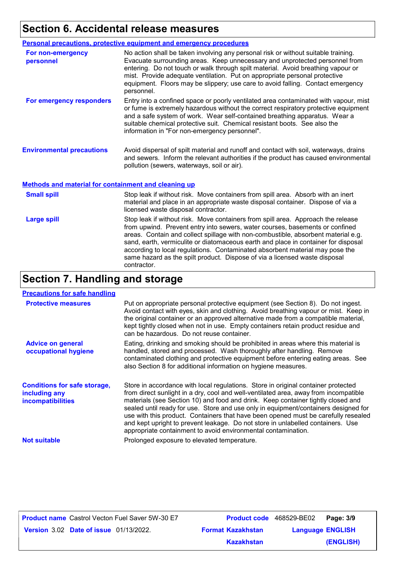## **Section 6. Accidental release measures**

|                                                             | Personal precautions, protective equipment and emergency procedures                                                                                                                                                                                                                                                                                                                                                                  |
|-------------------------------------------------------------|--------------------------------------------------------------------------------------------------------------------------------------------------------------------------------------------------------------------------------------------------------------------------------------------------------------------------------------------------------------------------------------------------------------------------------------|
| For non-emergency<br>personnel                              | No action shall be taken involving any personal risk or without suitable training.<br>Evacuate surrounding areas. Keep unnecessary and unprotected personnel from<br>entering. Do not touch or walk through spilt material. Avoid breathing vapour or<br>mist. Provide adequate ventilation. Put on appropriate personal protective<br>equipment. Floors may be slippery; use care to avoid falling. Contact emergency<br>personnel. |
| For emergency responders                                    | Entry into a confined space or poorly ventilated area contaminated with vapour, mist<br>or fume is extremely hazardous without the correct respiratory protective equipment<br>and a safe system of work. Wear self-contained breathing apparatus. Wear a<br>suitable chemical protective suit. Chemical resistant boots. See also the<br>information in "For non-emergency personnel".                                              |
| <b>Environmental precautions</b>                            | Avoid dispersal of spilt material and runoff and contact with soil, waterways, drains<br>and sewers. Inform the relevant authorities if the product has caused environmental<br>pollution (sewers, waterways, soil or air).                                                                                                                                                                                                          |
| <b>Methods and material for containment and cleaning up</b> |                                                                                                                                                                                                                                                                                                                                                                                                                                      |

| <b>Small spill</b> | Stop leak if without risk. Move containers from spill area. Absorb with an inert<br>material and place in an appropriate waste disposal container. Dispose of via a<br>licensed waste disposal contractor.                                                                                                                                                                                                                                                                                                               |
|--------------------|--------------------------------------------------------------------------------------------------------------------------------------------------------------------------------------------------------------------------------------------------------------------------------------------------------------------------------------------------------------------------------------------------------------------------------------------------------------------------------------------------------------------------|
| <b>Large spill</b> | Stop leak if without risk. Move containers from spill area. Approach the release<br>from upwind. Prevent entry into sewers, water courses, basements or confined<br>areas. Contain and collect spillage with non-combustible, absorbent material e.g.<br>sand, earth, vermiculite or diatomaceous earth and place in container for disposal<br>according to local regulations. Contaminated absorbent material may pose the<br>same hazard as the spilt product. Dispose of via a licensed waste disposal<br>contractor. |

## **Section 7. Handling and storage**

#### **Precautions for safe handling**

| <b>Protective measures</b>                                                       | Put on appropriate personal protective equipment (see Section 8). Do not ingest.<br>Avoid contact with eyes, skin and clothing. Avoid breathing vapour or mist. Keep in<br>the original container or an approved alternative made from a compatible material,<br>kept tightly closed when not in use. Empty containers retain product residue and<br>can be hazardous. Do not reuse container.                                                                                                                                                                                                 |
|----------------------------------------------------------------------------------|------------------------------------------------------------------------------------------------------------------------------------------------------------------------------------------------------------------------------------------------------------------------------------------------------------------------------------------------------------------------------------------------------------------------------------------------------------------------------------------------------------------------------------------------------------------------------------------------|
| <b>Advice on general</b><br>occupational hygiene                                 | Eating, drinking and smoking should be prohibited in areas where this material is<br>handled, stored and processed. Wash thoroughly after handling. Remove<br>contaminated clothing and protective equipment before entering eating areas. See<br>also Section 8 for additional information on hygiene measures.                                                                                                                                                                                                                                                                               |
| <b>Conditions for safe storage,</b><br>including any<br><b>incompatibilities</b> | Store in accordance with local regulations. Store in original container protected<br>from direct sunlight in a dry, cool and well-ventilated area, away from incompatible<br>materials (see Section 10) and food and drink. Keep container tightly closed and<br>sealed until ready for use. Store and use only in equipment/containers designed for<br>use with this product. Containers that have been opened must be carefully resealed<br>and kept upright to prevent leakage. Do not store in unlabelled containers. Use<br>appropriate containment to avoid environmental contamination. |
| <b>Not suitable</b>                                                              | Prolonged exposure to elevated temperature.                                                                                                                                                                                                                                                                                                                                                                                                                                                                                                                                                    |

|                                               | <b>Product name</b> Castrol Vecton Fuel Saver 5W-30 E7 | Product code 468529-BE02 |                         | Page: 3/9 |
|-----------------------------------------------|--------------------------------------------------------|--------------------------|-------------------------|-----------|
| <b>Version 3.02 Date of issue 01/13/2022.</b> |                                                        | <b>Format Kazakhstan</b> | <b>Language ENGLISH</b> |           |
|                                               |                                                        | <b>Kazakhstan</b>        |                         | (ENGLISH) |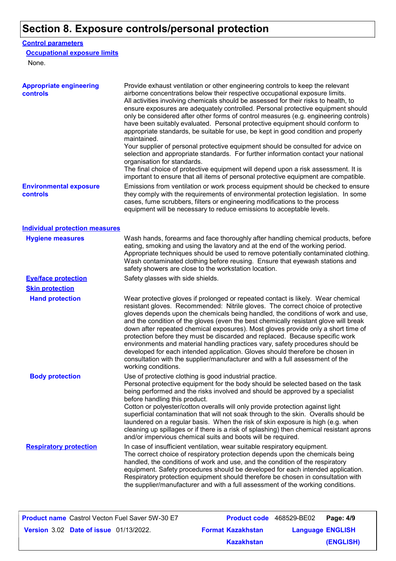## **Section 8. Exposure controls/personal protection**

#### **Control parameters**

#### **Occupational exposure limits**

None.

| <b>Appropriate engineering</b><br>controls | Provide exhaust ventilation or other engineering controls to keep the relevant<br>airborne concentrations below their respective occupational exposure limits.<br>All activities involving chemicals should be assessed for their risks to health, to<br>ensure exposures are adequately controlled. Personal protective equipment should<br>only be considered after other forms of control measures (e.g. engineering controls)<br>have been suitably evaluated. Personal protective equipment should conform to<br>appropriate standards, be suitable for use, be kept in good condition and properly<br>maintained.<br>Your supplier of personal protective equipment should be consulted for advice on<br>selection and appropriate standards. For further information contact your national<br>organisation for standards.<br>The final choice of protective equipment will depend upon a risk assessment. It is<br>important to ensure that all items of personal protective equipment are compatible. |
|--------------------------------------------|---------------------------------------------------------------------------------------------------------------------------------------------------------------------------------------------------------------------------------------------------------------------------------------------------------------------------------------------------------------------------------------------------------------------------------------------------------------------------------------------------------------------------------------------------------------------------------------------------------------------------------------------------------------------------------------------------------------------------------------------------------------------------------------------------------------------------------------------------------------------------------------------------------------------------------------------------------------------------------------------------------------|
| <b>Environmental exposure</b><br>controls  | Emissions from ventilation or work process equipment should be checked to ensure<br>they comply with the requirements of environmental protection legislation. In some<br>cases, fume scrubbers, filters or engineering modifications to the process<br>equipment will be necessary to reduce emissions to acceptable levels.                                                                                                                                                                                                                                                                                                                                                                                                                                                                                                                                                                                                                                                                                 |
| <b>Individual protection measures</b>      |                                                                                                                                                                                                                                                                                                                                                                                                                                                                                                                                                                                                                                                                                                                                                                                                                                                                                                                                                                                                               |
| <b>Hygiene measures</b>                    | Wash hands, forearms and face thoroughly after handling chemical products, before<br>eating, smoking and using the lavatory and at the end of the working period.<br>Appropriate techniques should be used to remove potentially contaminated clothing.<br>Wash contaminated clothing before reusing. Ensure that eyewash stations and<br>safety showers are close to the workstation location.                                                                                                                                                                                                                                                                                                                                                                                                                                                                                                                                                                                                               |
| <b>Eye/face protection</b>                 | Safety glasses with side shields.                                                                                                                                                                                                                                                                                                                                                                                                                                                                                                                                                                                                                                                                                                                                                                                                                                                                                                                                                                             |
| <b>Skin protection</b>                     |                                                                                                                                                                                                                                                                                                                                                                                                                                                                                                                                                                                                                                                                                                                                                                                                                                                                                                                                                                                                               |
| <b>Hand protection</b>                     | Wear protective gloves if prolonged or repeated contact is likely. Wear chemical<br>resistant gloves. Recommended: Nitrile gloves. The correct choice of protective<br>gloves depends upon the chemicals being handled, the conditions of work and use,<br>and the condition of the gloves (even the best chemically resistant glove will break<br>down after repeated chemical exposures). Most gloves provide only a short time of<br>protection before they must be discarded and replaced. Because specific work<br>environments and material handling practices vary, safety procedures should be<br>developed for each intended application. Gloves should therefore be chosen in<br>consultation with the supplier/manufacturer and with a full assessment of the<br>working conditions.                                                                                                                                                                                                               |
| <b>Body protection</b>                     | Use of protective clothing is good industrial practice.<br>Personal protective equipment for the body should be selected based on the task<br>being performed and the risks involved and should be approved by a specialist<br>before handling this product.<br>Cotton or polyester/cotton overalls will only provide protection against light<br>superficial contamination that will not soak through to the skin. Overalls should be<br>laundered on a regular basis. When the risk of skin exposure is high (e.g. when<br>cleaning up spillages or if there is a risk of splashing) then chemical resistant aprons<br>and/or impervious chemical suits and boots will be required.                                                                                                                                                                                                                                                                                                                         |
| <b>Respiratory protection</b>              | In case of insufficient ventilation, wear suitable respiratory equipment.<br>The correct choice of respiratory protection depends upon the chemicals being<br>handled, the conditions of work and use, and the condition of the respiratory<br>equipment. Safety procedures should be developed for each intended application.<br>Respiratory protection equipment should therefore be chosen in consultation with<br>the supplier/manufacturer and with a full assessment of the working conditions.                                                                                                                                                                                                                                                                                                                                                                                                                                                                                                         |

| <b>Product name</b> Castrol Vecton Fuel Saver 5W-30 E7 |                          | <b>Product code</b> 468529-BE02 | Page: 4/9 |
|--------------------------------------------------------|--------------------------|---------------------------------|-----------|
| <b>Version 3.02 Date of issue 01/13/2022.</b>          | <b>Format Kazakhstan</b> | <b>Language ENGLISH</b>         |           |
|                                                        | Kazakhstan               |                                 | (ENGLISH) |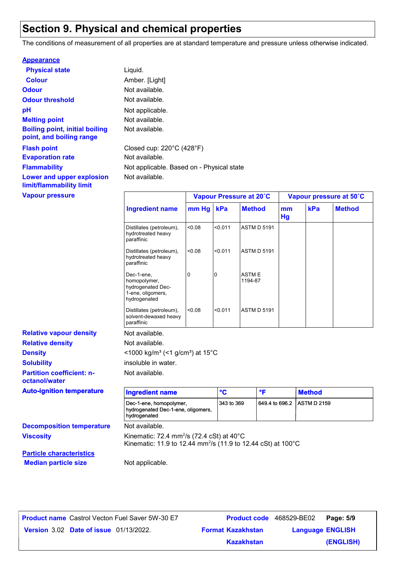## **Section 9. Physical and chemical properties**

The conditions of measurement of all properties are at standard temperature and pressure unless otherwise indicated.

| <b>Appearance</b>                                                 |                                                |                         |
|-------------------------------------------------------------------|------------------------------------------------|-------------------------|
| <b>Physical state</b>                                             | Liquid.                                        |                         |
| <b>Colour</b>                                                     | Amber. [Light]                                 |                         |
| <b>Odour</b>                                                      | Not available.                                 |                         |
| <b>Odour threshold</b>                                            | Not available.                                 |                         |
| рH                                                                | Not applicable.                                |                         |
| <b>Melting point</b>                                              | Not available.                                 |                         |
| <b>Boiling point, initial boiling</b><br>point, and boiling range | Not available.                                 |                         |
| <b>Flash point</b>                                                | Closed cup: $220^{\circ}$ C (428 $^{\circ}$ F) |                         |
| <b>Evaporation rate</b>                                           | Not available.                                 |                         |
| <b>Flammability</b>                                               | Not applicable. Based on - Physical state      |                         |
| Lower and upper explosion<br>limit/flammability limit             | Not available.                                 |                         |
| <b>Vapour pressure</b>                                            |                                                | Vapour Pressure at 20°C |

| <b>Vapour pressure</b>           |                                                                                      |           |         | Vapour Pressure at 20°C |          |     | Vapour pressure at 50°C |
|----------------------------------|--------------------------------------------------------------------------------------|-----------|---------|-------------------------|----------|-----|-------------------------|
|                                  | <b>Ingredient name</b>                                                               | mm Hg kPa |         | <b>Method</b>           | mm<br>Hg | kPa | <b>Method</b>           |
|                                  | Distillates (petroleum),<br>hydrotreated heavy<br>paraffinic                         | 0.08      | < 0.011 | <b>ASTM D 5191</b>      |          |     |                         |
|                                  | Distillates (petroleum),<br>hydrotreated heavy<br>paraffinic                         | < 0.08    | < 0.011 | <b>ASTM D 5191</b>      |          |     |                         |
|                                  | Dec-1-ene.<br>homopolymer,<br>hydrogenated Dec-<br>1-ene, oligomers,<br>hydrogenated | 0         | IО      | <b>ASTME</b><br>1194-87 |          |     |                         |
|                                  | Distillates (petroleum),<br>solvent-dewaxed heavy<br>paraffinic                      | < 0.08    | < 0.011 | <b>ASTM D 5191</b>      |          |     |                         |
| <b>Relative vapour density</b>   | Not available.                                                                       |           |         |                         |          |     |                         |
| <b>Relative density</b>          | Not available.                                                                       |           |         |                         |          |     |                         |
| <b>Density</b>                   | $<$ 1000 kg/m <sup>3</sup> (<1 g/cm <sup>3</sup> ) at 15 <sup>°</sup> C              |           |         |                         |          |     |                         |
| <b>Solubility</b>                | insoluble in water.                                                                  |           |         |                         |          |     |                         |
| <b>Partition coefficient: n-</b> | Not available.                                                                       |           |         |                         |          |     |                         |

**Solubility Partition coefficient: noctanol/water**

| <b>Auto-ignition temperature</b> | <b>Ingredient name</b>                                                                                                                                        | ீC         | ∘⊏                          | <b>Method</b> |
|----------------------------------|---------------------------------------------------------------------------------------------------------------------------------------------------------------|------------|-----------------------------|---------------|
|                                  | Dec-1-ene, homopolymer,<br>hydrogenated Dec-1-ene, oligomers,<br>hydrogenated                                                                                 | 343 to 369 | 649.4 to 696.2 TASTM D 2159 |               |
| <b>Decomposition temperature</b> | Not available.<br>Kinematic: 72.4 mm <sup>2</sup> /s (72.4 cSt) at $40^{\circ}$ C<br>Kinematic: 11.9 to 12.44 mm <sup>2</sup> /s (11.9 to 12.44 cSt) at 100°C |            |                             |               |
| <b>Viscosity</b>                 |                                                                                                                                                               |            |                             |               |
| <b>Particle characteristics</b>  |                                                                                                                                                               |            |                             |               |
|                                  |                                                                                                                                                               |            |                             |               |

**Median particle size** Not applicable.

**Date of issue** 01/13/2022. **Version** 3.02 **Format Kazakhstan Language Product name** Castrol Vecton Fuel Saver 5W-30 E7 **Product code** 468529-BE02 **Page: 5/9** 

**Language ENGLISH (ENGLISH)** Product code 468529-BE02 Page: 5/9 **Kazakhstan**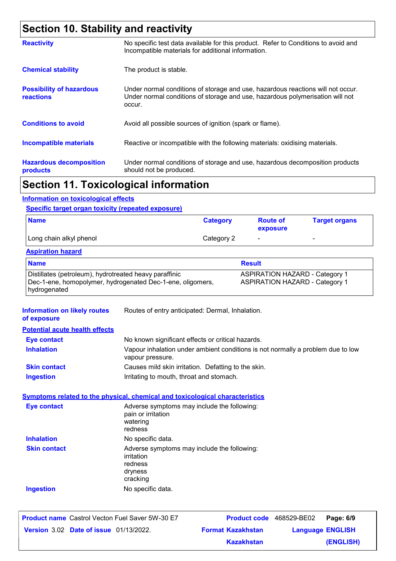## **Section 10. Stability and reactivity**

| <b>Reactivity</b>                                   | No specific test data available for this product. Refer to Conditions to avoid and<br>Incompatible materials for additional information.                                   |
|-----------------------------------------------------|----------------------------------------------------------------------------------------------------------------------------------------------------------------------------|
| <b>Chemical stability</b>                           | The product is stable.                                                                                                                                                     |
| <b>Possibility of hazardous</b><br><b>reactions</b> | Under normal conditions of storage and use, hazardous reactions will not occur.<br>Under normal conditions of storage and use, hazardous polymerisation will not<br>occur. |
| <b>Conditions to avoid</b>                          | Avoid all possible sources of ignition (spark or flame).                                                                                                                   |
| <b>Incompatible materials</b>                       | Reactive or incompatible with the following materials: oxidising materials.                                                                                                |
| <b>Hazardous decomposition</b><br>products          | Under normal conditions of storage and use, hazardous decomposition products<br>should not be produced.                                                                    |
|                                                     |                                                                                                                                                                            |

### **Section 11. Toxicological information**

#### **Information on toxicological effects**

#### **Specific target organ toxicity (repeated exposure)**

| <b>Name</b>             | <b>Category</b> | <b>Route of</b><br>exposure | <b>Target organs</b>     |
|-------------------------|-----------------|-----------------------------|--------------------------|
| Long chain alkyl phenol | Category 2      | $\overline{\phantom{0}}$    | $\overline{\phantom{a}}$ |

#### **Aspiration hazard**

| <b>Name</b>                                                | <b>Result</b>                         |
|------------------------------------------------------------|---------------------------------------|
| Distillates (petroleum), hydrotreated heavy paraffinic     | <b>ASPIRATION HAZARD - Category 1</b> |
| Dec-1-ene, homopolymer, hydrogenated Dec-1-ene, oligomers, | <b>ASPIRATION HAZARD - Category 1</b> |
| hydrogenated                                               |                                       |

| <b>Information on likely routes</b><br>of exposure | Routes of entry anticipated: Dermal, Inhalation.                                                    |  |  |  |
|----------------------------------------------------|-----------------------------------------------------------------------------------------------------|--|--|--|
| <b>Potential acute health effects</b>              |                                                                                                     |  |  |  |
| <b>Eye contact</b>                                 | No known significant effects or critical hazards.                                                   |  |  |  |
| <b>Inhalation</b>                                  | Vapour inhalation under ambient conditions is not normally a problem due to low<br>vapour pressure. |  |  |  |
| <b>Skin contact</b>                                | Causes mild skin irritation. Defatting to the skin.                                                 |  |  |  |
| <b>Ingestion</b>                                   | Irritating to mouth, throat and stomach.                                                            |  |  |  |
|                                                    | <b>Symptoms related to the physical, chemical and toxicological characteristics</b>                 |  |  |  |
| <b>Eye contact</b>                                 | Adverse symptoms may include the following:<br>pain or irritation<br>watering<br>redness            |  |  |  |
| <b>Inhalation</b>                                  | No specific data.                                                                                   |  |  |  |
| <b>Skin contact</b>                                | Adverse symptoms may include the following:<br>irritation<br>redness<br>dryness<br>cracking         |  |  |  |
| <b>Ingestion</b>                                   | No specific data.                                                                                   |  |  |  |

| <b>Product name</b> Castrol Vecton Fuel Saver 5W-30 E7 |                          | Product code 468529-BE02 Page: 6/9 |           |
|--------------------------------------------------------|--------------------------|------------------------------------|-----------|
| <b>Version 3.02 Date of issue 01/13/2022.</b>          | <b>Format Kazakhstan</b> | <b>Language ENGLISH</b>            |           |
|                                                        | Kazakhstan               |                                    | (ENGLISH) |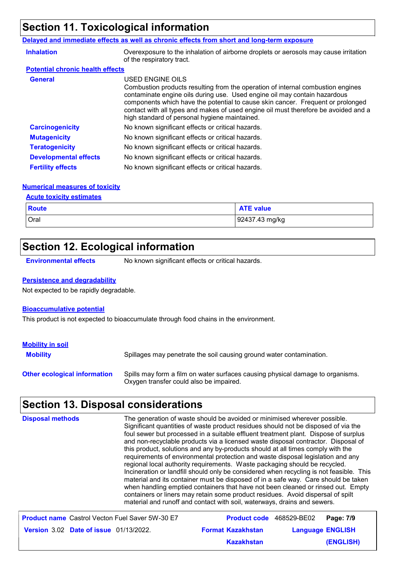## **Section 11. Toxicological information**

#### **Delayed and immediate effects as well as chronic effects from short and long-term exposure**

| <b>Inhalation</b>                       | Overexposure to the inhalation of airborne droplets or aerosols may cause irritation<br>of the respiratory tract.                                                                                                                                                                                                                                                                                           |
|-----------------------------------------|-------------------------------------------------------------------------------------------------------------------------------------------------------------------------------------------------------------------------------------------------------------------------------------------------------------------------------------------------------------------------------------------------------------|
| <b>Potential chronic health effects</b> |                                                                                                                                                                                                                                                                                                                                                                                                             |
| <b>General</b>                          | USED ENGINE OILS<br>Combustion products resulting from the operation of internal combustion engines<br>contaminate engine oils during use. Used engine oil may contain hazardous<br>components which have the potential to cause skin cancer. Frequent or prolonged<br>contact with all types and makes of used engine oil must therefore be avoided and a<br>high standard of personal hygiene maintained. |
| <b>Carcinogenicity</b>                  | No known significant effects or critical hazards.                                                                                                                                                                                                                                                                                                                                                           |
| <b>Mutagenicity</b>                     | No known significant effects or critical hazards.                                                                                                                                                                                                                                                                                                                                                           |
| <b>Teratogenicity</b>                   | No known significant effects or critical hazards.                                                                                                                                                                                                                                                                                                                                                           |
| <b>Developmental effects</b>            | No known significant effects or critical hazards.                                                                                                                                                                                                                                                                                                                                                           |
| <b>Fertility effects</b>                | No known significant effects or critical hazards.                                                                                                                                                                                                                                                                                                                                                           |

#### **Numerical measures of toxicity**

#### **Acute toxicity estimates**

| <b>Route</b> | <b>ATE value</b> |
|--------------|------------------|
| Oral         | 92437.43 mg/kg   |

## **Section 12. Ecological information**

**Environmental effects** No known significant effects or critical hazards.

#### **Persistence and degradability**

Not expected to be rapidly degradable.

#### **Bioaccumulative potential**

This product is not expected to bioaccumulate through food chains in the environment.

| <b>Mobility in soil</b>             |                                                                                                                           |
|-------------------------------------|---------------------------------------------------------------------------------------------------------------------------|
| <b>Mobility</b>                     | Spillages may penetrate the soil causing ground water contamination.                                                      |
| <b>Other ecological information</b> | Spills may form a film on water surfaces causing physical damage to organisms.<br>Oxygen transfer could also be impaired. |

## **Section 13. Disposal considerations**

| <b>Disposal methods</b>                                | The generation of waste should be avoided or minimised wherever possible.<br>Significant quantities of waste product residues should not be disposed of via the<br>foul sewer but processed in a suitable effluent treatment plant. Dispose of surplus<br>and non-recyclable products via a licensed waste disposal contractor. Disposal of<br>this product, solutions and any by-products should at all times comply with the<br>requirements of environmental protection and waste disposal legislation and any<br>regional local authority requirements. Waste packaging should be recycled.<br>Incineration or landfill should only be considered when recycling is not feasible. This<br>material and its container must be disposed of in a safe way. Care should be taken<br>when handling emptied containers that have not been cleaned or rinsed out. Empty<br>containers or liners may retain some product residues. Avoid dispersal of spilt<br>material and runoff and contact with soil, waterways, drains and sewers. |                         |
|--------------------------------------------------------|-------------------------------------------------------------------------------------------------------------------------------------------------------------------------------------------------------------------------------------------------------------------------------------------------------------------------------------------------------------------------------------------------------------------------------------------------------------------------------------------------------------------------------------------------------------------------------------------------------------------------------------------------------------------------------------------------------------------------------------------------------------------------------------------------------------------------------------------------------------------------------------------------------------------------------------------------------------------------------------------------------------------------------------|-------------------------|
| <b>Product name</b> Castrol Vecton Fuel Saver 5W-30 E7 | <b>Product code</b> 468529-BE02                                                                                                                                                                                                                                                                                                                                                                                                                                                                                                                                                                                                                                                                                                                                                                                                                                                                                                                                                                                                     | Page: 7/9               |
| <b>Version 3.02 Date of issue 01/13/2022.</b>          | <b>Format Kazakhstan</b>                                                                                                                                                                                                                                                                                                                                                                                                                                                                                                                                                                                                                                                                                                                                                                                                                                                                                                                                                                                                            | <b>Language ENGLISH</b> |
|                                                        | <b>Kazakhstan</b>                                                                                                                                                                                                                                                                                                                                                                                                                                                                                                                                                                                                                                                                                                                                                                                                                                                                                                                                                                                                                   | <b>(ENGLISH)</b>        |

**(ENGLISH)**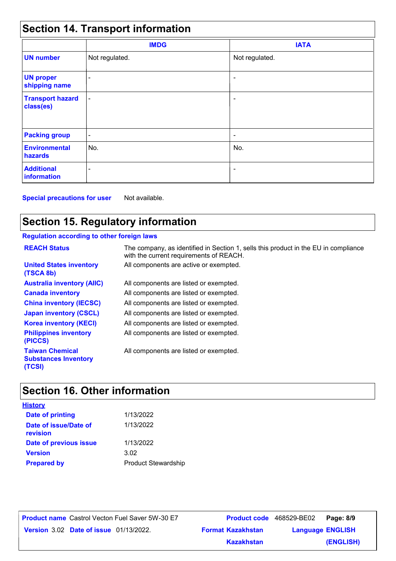## **Section 14. Transport information**

|                                      | <b>IMDG</b>              | <b>IATA</b>              |  |
|--------------------------------------|--------------------------|--------------------------|--|
| <b>UN number</b>                     | Not regulated.           | Not regulated.           |  |
| <b>UN proper</b><br>shipping name    | $\overline{\phantom{0}}$ | $\overline{\phantom{0}}$ |  |
| <b>Transport hazard</b><br>class(es) | $\blacksquare$           | ۰                        |  |
| <b>Packing group</b>                 | $\overline{\phantom{a}}$ | ۰                        |  |
| <b>Environmental</b><br>hazards      | No.                      | No.                      |  |
| <b>Additional</b><br>information     | $\overline{\phantom{0}}$ | $\overline{\phantom{a}}$ |  |

**Special precautions for user** Not available.

## **Section 15. Regulatory information**

### **Regulation according to other foreign laws**

| <b>REACH Status</b>                                             | The company, as identified in Section 1, sells this product in the EU in compliance<br>with the current requirements of REACH. |
|-----------------------------------------------------------------|--------------------------------------------------------------------------------------------------------------------------------|
| <b>United States inventory</b><br>(TSCA 8b)                     | All components are active or exempted.                                                                                         |
| <b>Australia inventory (AIIC)</b>                               | All components are listed or exempted.                                                                                         |
| <b>Canada inventory</b>                                         | All components are listed or exempted.                                                                                         |
| <b>China inventory (IECSC)</b>                                  | All components are listed or exempted.                                                                                         |
| <b>Japan inventory (CSCL)</b>                                   | All components are listed or exempted.                                                                                         |
| <b>Korea inventory (KECI)</b>                                   | All components are listed or exempted.                                                                                         |
| <b>Philippines inventory</b><br>(PICCS)                         | All components are listed or exempted.                                                                                         |
| <b>Taiwan Chemical</b><br><b>Substances Inventory</b><br>(TCSI) | All components are listed or exempted.                                                                                         |

## **Section 16. Other information**

| <b>History</b>                    |                            |
|-----------------------------------|----------------------------|
| <b>Date of printing</b>           | 1/13/2022                  |
| Date of issue/Date of<br>revision | 1/13/2022                  |
| Date of previous issue            | 1/13/2022                  |
| <b>Version</b>                    | 3.02                       |
| <b>Prepared by</b>                | <b>Product Stewardship</b> |

**Date of issue** 01/13/2022. **Version** 3.02 **Format Kazakhstan Language Product name** Castrol Vecton Fuel Saver 5W-30 E7 **Product code** 468529-BE02 **Page: 8/9** | **Language ENGLISH (ENGLISH)** Product code 468529-BE02 Page: 8/9 **Kazakhstan**